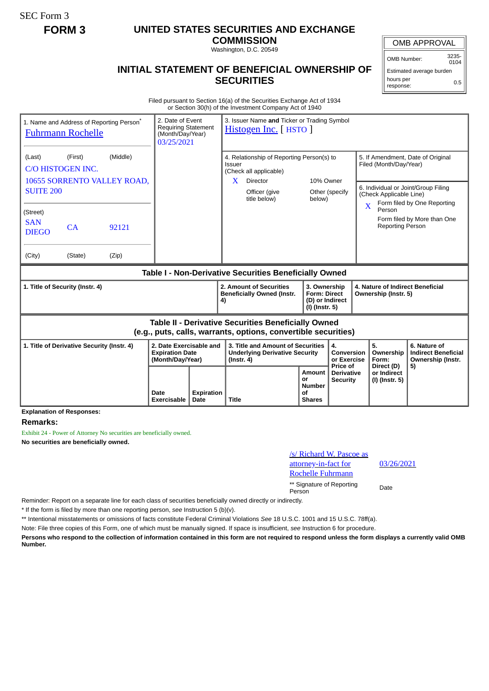SEC Form 3

# **FORM 3 UNITED STATES SECURITIES AND EXCHANGE**

**COMMISSION** Washington, D.C. 20549

## **INITIAL STATEMENT OF BENEFICIAL OWNERSHIP OF SECURITIES**

OMB APPROVAL

OMB Number: 3235-  $0104$ 

Estimated average burden hours per response: 0.5

Filed pursuant to Section 16(a) of the Securities Exchange Act of 1934 or Section 30(h) of the Investment Company Act of 1940

| 1. Name and Address of Reporting Person <sup>®</sup><br><b>Fuhrmann Rochelle</b>                                             | 2. Date of Event<br><b>Requiring Statement</b><br>(Month/Day/Year)<br>03/25/2021 |                            | 3. Issuer Name and Ticker or Trading Symbol<br>Histogen Inc. [ HSTO ] |              |                                                                                                |                                                              |                                                                          |                                             |                                                          |                                                                                                                          |                                                                       |  |
|------------------------------------------------------------------------------------------------------------------------------|----------------------------------------------------------------------------------|----------------------------|-----------------------------------------------------------------------|--------------|------------------------------------------------------------------------------------------------|--------------------------------------------------------------|--------------------------------------------------------------------------|---------------------------------------------|----------------------------------------------------------|--------------------------------------------------------------------------------------------------------------------------|-----------------------------------------------------------------------|--|
| (Last)                                                                                                                       | (Middle)<br>(First)<br>C/O HISTOGEN INC.                                         |                            |                                                                       |              | 4. Relationship of Reporting Person(s) to<br>Issuer<br>(Check all applicable)                  |                                                              |                                                                          |                                             |                                                          | 5. If Amendment, Date of Original<br>Filed (Month/Day/Year)                                                              |                                                                       |  |
| 10655 SORRENTO VALLEY ROAD,<br><b>SUITE 200</b>                                                                              |                                                                                  |                            |                                                                       |              | Director<br>X.<br>Officer (give<br>title below)                                                |                                                              |                                                                          | 10% Owner<br>Other (specify<br>below)       |                                                          | 6. Individual or Joint/Group Filing<br>(Check Applicable Line)<br>Form filed by One Reporting<br>$\overline{\textbf{X}}$ |                                                                       |  |
| (Street)<br><b>SAN</b><br><b>DIEGO</b>                                                                                       | CA                                                                               | 92121                      |                                                                       |              |                                                                                                |                                                              |                                                                          |                                             |                                                          | Person<br><b>Reporting Person</b>                                                                                        | Form filed by More than One                                           |  |
| (City)                                                                                                                       | (State)                                                                          | (Zip)                      |                                                                       |              |                                                                                                |                                                              |                                                                          |                                             |                                                          |                                                                                                                          |                                                                       |  |
| Table I - Non-Derivative Securities Beneficially Owned                                                                       |                                                                                  |                            |                                                                       |              |                                                                                                |                                                              |                                                                          |                                             |                                                          |                                                                                                                          |                                                                       |  |
| 1. Title of Security (Instr. 4)                                                                                              |                                                                                  |                            |                                                                       |              | 4)                                                                                             | 2. Amount of Securities<br><b>Beneficially Owned (Instr.</b> | 3. Ownership<br><b>Form: Direct</b><br>(D) or Indirect<br>(I) (Instr. 5) |                                             | 4. Nature of Indirect Beneficial<br>Ownership (Instr. 5) |                                                                                                                          |                                                                       |  |
| <b>Table II - Derivative Securities Beneficially Owned</b><br>(e.g., puts, calls, warrants, options, convertible securities) |                                                                                  |                            |                                                                       |              |                                                                                                |                                                              |                                                                          |                                             |                                                          |                                                                                                                          |                                                                       |  |
| 1. Title of Derivative Security (Instr. 4)                                                                                   |                                                                                  |                            | 2. Date Exercisable and<br><b>Expiration Date</b><br>(Month/Day/Year) |              | 3. Title and Amount of Securities<br><b>Underlying Derivative Security</b><br>$($ lnstr. 4 $)$ |                                                              |                                                                          | 4.<br>Conversion<br>or Exercise<br>Price of |                                                          | 5.<br>Ownership<br>Form:<br>Direct (D)                                                                                   | 6. Nature of<br><b>Indirect Beneficial</b><br>Ownership (Instr.<br>5) |  |
|                                                                                                                              |                                                                                  | Date<br><b>Exercisable</b> | <b>Expiration</b><br>Date                                             | <b>Title</b> |                                                                                                | Amount<br>or<br>Number<br>Οf<br><b>Shares</b>                | <b>Derivative</b><br><b>Security</b>                                     |                                             | or Indirect<br>(I) (Instr. 5)                            |                                                                                                                          |                                                                       |  |

**Explanation of Responses:**

#### **Remarks:**

Exhibit 24 - Power of Attorney No securities are beneficially owned. **No securities are beneficially owned.**

### /s/ Richard W. Pascoe as attorney-in-fact for Rochelle Fuhrmann

03/26/2021

\*\* Signature of Reporting Person Date

Reminder: Report on a separate line for each class of securities beneficially owned directly or indirectly.

\* If the form is filed by more than one reporting person, *see* Instruction 5 (b)(v).

\*\* Intentional misstatements or omissions of facts constitute Federal Criminal Violations *See* 18 U.S.C. 1001 and 15 U.S.C. 78ff(a).

Note: File three copies of this Form, one of which must be manually signed. If space is insufficient, *see* Instruction 6 for procedure.

**Persons who respond to the collection of information contained in this form are not required to respond unless the form displays a currently valid OMB Number.**